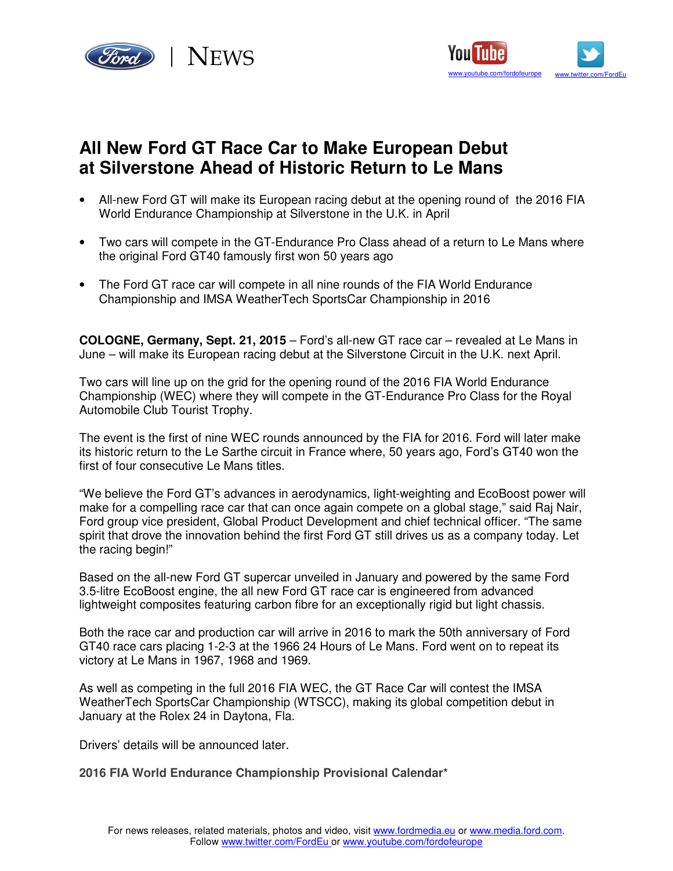



## **All New Ford GT Race Car to Make European Debut at Silverstone Ahead of Historic Return to Le Mans**

- All-new Ford GT will make its European racing debut at the opening round of the 2016 FIA World Endurance Championship at Silverstone in the U.K. in April
- Two cars will compete in the GT-Endurance Pro Class ahead of a return to Le Mans where the original Ford GT40 famously first won 50 years ago
- The Ford GT race car will compete in all nine rounds of the FIA World Endurance Championship and IMSA WeatherTech SportsCar Championship in 2016

**COLOGNE, Germany, Sept. 21, 2015** – Ford's all-new GT race car – revealed at Le Mans in June – will make its European racing debut at the Silverstone Circuit in the U.K. next April.

Two cars will line up on the grid for the opening round of the 2016 FIA World Endurance Championship (WEC) where they will compete in the GT-Endurance Pro Class for the Royal Automobile Club Tourist Trophy.

The event is the first of nine WEC rounds announced by the FIA for 2016. Ford will later make its historic return to the Le Sarthe circuit in France where, 50 years ago, Ford's GT40 won the first of four consecutive Le Mans titles.

"We believe the Ford GT's advances in aerodynamics, light-weighting and EcoBoost power will make for a compelling race car that can once again compete on a global stage," said Raj Nair, Ford group vice president, Global Product Development and chief technical officer. "The same spirit that drove the innovation behind the first Ford GT still drives us as a company today. Let the racing begin!"

Based on the all-new Ford GT supercar unveiled in January and powered by the same Ford 3.5-litre EcoBoost engine, the all new Ford GT race car is engineered from advanced lightweight composites featuring carbon fibre for an exceptionally rigid but light chassis.

Both the race car and production car will arrive in 2016 to mark the 50th anniversary of Ford GT40 race cars placing 1-2-3 at the 1966 24 Hours of Le Mans. Ford went on to repeat its victory at Le Mans in 1967, 1968 and 1969.

As well as competing in the full 2016 FIA WEC, the GT Race Car will contest the IMSA WeatherTech SportsCar Championship (WTSCC), making its global competition debut in January at the Rolex 24 in Daytona, Fla.

Drivers' details will be announced later.

**2016 FIA World Endurance Championship Provisional Calendar\***